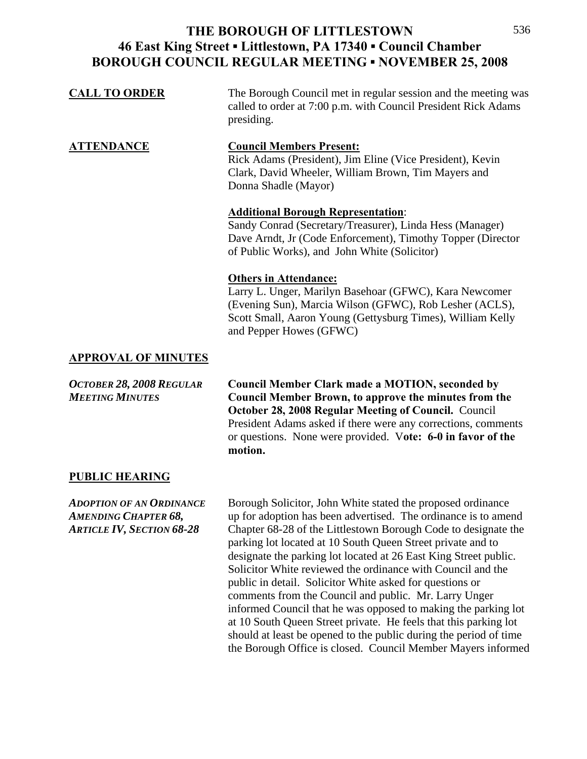| <b>CALL TO ORDER</b> | The Borough Council met in regular session and the meeting was |
|----------------------|----------------------------------------------------------------|
|                      | called to order at 7:00 p.m. with Council President Rick Adams |
|                      | presiding.                                                     |

**ATTENDANCE Council Members Present:** Rick Adams (President), Jim Eline (Vice President), Kevin Clark, David Wheeler, William Brown, Tim Mayers and Donna Shadle (Mayor)

### **Additional Borough Representation**:

Sandy Conrad (Secretary/Treasurer), Linda Hess (Manager) Dave Arndt, Jr (Code Enforcement), Timothy Topper (Director of Public Works), and John White (Solicitor)

### **Others in Attendance:**

Larry L. Unger, Marilyn Basehoar (GFWC), Kara Newcomer (Evening Sun), Marcia Wilson (GFWC), Rob Lesher (ACLS), Scott Small, Aaron Young (Gettysburg Times), William Kelly and Pepper Howes (GFWC)

## **APPROVAL OF MINUTES**

*OCTOBER 28, 2008 REGULAR* **Council Member Clark made a MOTION, seconded by**  *MEETING MINUTES* **Council Member Brown, to approve the minutes from the October 28, 2008 Regular Meeting of Council.** Council President Adams asked if there were any corrections, comments or questions. None were provided. V**ote: 6-0 in favor of the motion.** 

## **PUBLIC HEARING**

*ADOPTION OF AN ORDINANCE* Borough Solicitor, John White stated the proposed ordinance *AMENDING CHAPTER 68,* up for adoption has been advertised. The ordinance is to amend *ARTICLE IV, SECTION 68-28* Chapter 68-28 of the Littlestown Borough Code to designate the parking lot located at 10 South Queen Street private and to designate the parking lot located at 26 East King Street public. Solicitor White reviewed the ordinance with Council and the public in detail. Solicitor White asked for questions or comments from the Council and public. Mr. Larry Unger informed Council that he was opposed to making the parking lot at 10 South Queen Street private. He feels that this parking lot should at least be opened to the public during the period of time the Borough Office is closed. Council Member Mayers informed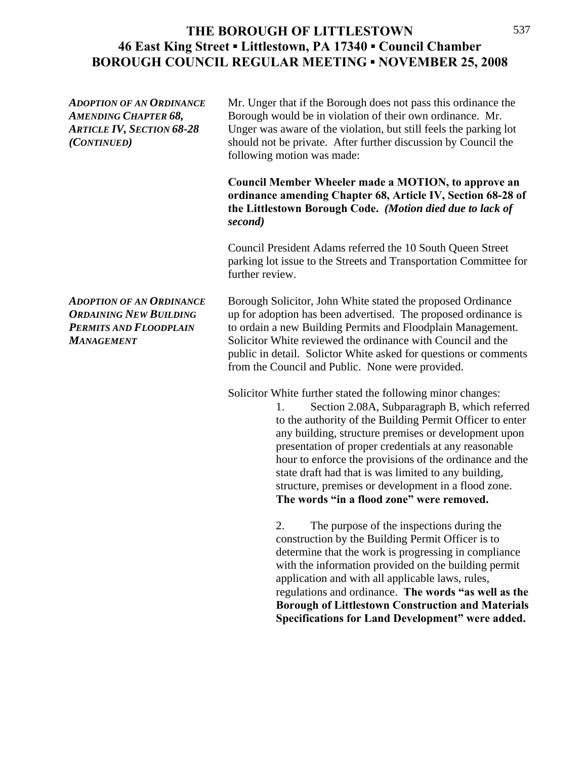*ADOPTION OF AN ORDINANCE* Mr. Unger that if the Borough does not pass this ordinance the *AMENDING CHAPTER 68,* Borough would be in violation of their own ordinance. Mr. *ARTICLE IV, SECTION 68-28* Unger was aware of the violation, but still feels the parking lot *(CONTINUED)* should not be private. After further discussion by Council the following motion was made:

> **Council Member Wheeler made a MOTION, to approve an ordinance amending Chapter 68, Article IV, Section 68-28 of the Littlestown Borough Code.** *(Motion died due to lack of second)*

> Council President Adams referred the 10 South Queen Street parking lot issue to the Streets and Transportation Committee for further review.

*ADOPTION OF AN ORDINANCE* Borough Solicitor, John White stated the proposed Ordinance *ORDAINING NEW BUILDING* up for adoption has been advertised. The proposed ordinance is **PERMITS AND FLOODPLAIN** to ordain a new Building Permits and Floodplain Management. *MANAGEMENT* Solicitor White reviewed the ordinance with Council and the public in detail. Solictor White asked for questions or comments from the Council and Public. None were provided.

Solicitor White further stated the following minor changes:

 1. Section 2.08A, Subparagraph B, which referred to the authority of the Building Permit Officer to enter any building, structure premises or development upon presentation of proper credentials at any reasonable hour to enforce the provisions of the ordinance and the state draft had that is was limited to any building, structure, premises or development in a flood zone. **The words "in a flood zone" were removed.**

 2. The purpose of the inspections during the construction by the Building Permit Officer is to determine that the work is progressing in compliance with the information provided on the building permit application and with all applicable laws, rules, regulations and ordinance. **The words "as well as the Borough of Littlestown Construction and Materials Specifications for Land Development" were added.**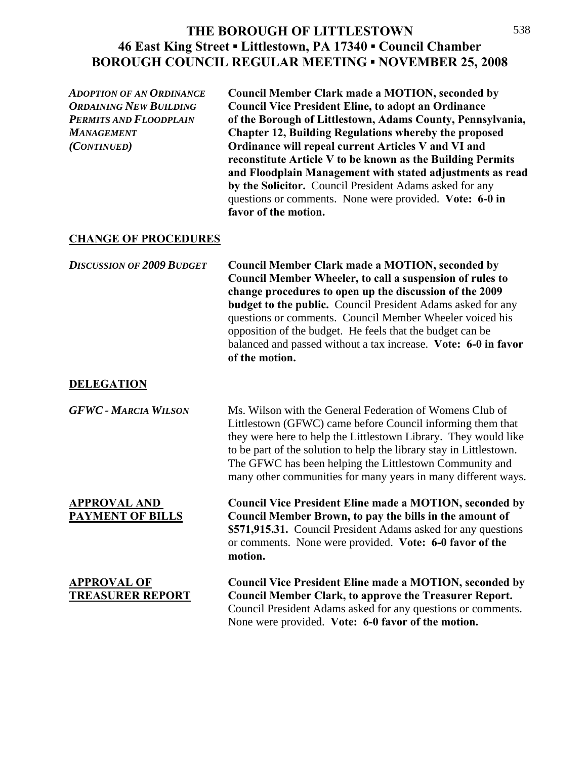*ADOPTION OF AN ORDINANCE* **Council Member Clark made a MOTION, seconded by**  *ORDAINING NEW BUILDING* **Council Vice President Eline, to adopt an Ordinance**  *PERMITS AND FLOODPLAIN* **of the Borough of Littlestown, Adams County, Pennsylvania,**  *MANAGEMENT* **Chapter 12, Building Regulations whereby the proposed**  *(CONTINUED)* **Ordinance will repeal current Articles V and VI and reconstitute Article V to be known as the Building Permits and Floodplain Management with stated adjustments as read by the Solicitor.** Council President Adams asked for any questions or comments. None were provided. **Vote: 6-0 in favor of the motion.** 

### **CHANGE OF PROCEDURES**

*DISCUSSION OF 2009 BUDGET* **Council Member Clark made a MOTION, seconded by Council Member Wheeler, to call a suspension of rules to change procedures to open up the discussion of the 2009 budget to the public.** Council President Adams asked for any questions or comments. Council Member Wheeler voiced his opposition of the budget. He feels that the budget can be balanced and passed without a tax increase. **Vote: 6-0 in favor of the motion.** 

#### **DELEGATION**

| <b>GFWC - MARCIA WILSON</b>                    | Ms. Wilson with the General Federation of Womens Club of<br>Littlestown (GFWC) came before Council informing them that<br>they were here to help the Littlestown Library. They would like<br>to be part of the solution to help the library stay in Littlestown.<br>The GFWC has been helping the Littlestown Community and<br>many other communities for many years in many different ways. |
|------------------------------------------------|----------------------------------------------------------------------------------------------------------------------------------------------------------------------------------------------------------------------------------------------------------------------------------------------------------------------------------------------------------------------------------------------|
| <b>APPROVAL AND</b><br><b>PAYMENT OF BILLS</b> | <b>Council Vice President Eline made a MOTION, seconded by</b><br>Council Member Brown, to pay the bills in the amount of<br>\$571,915.31. Council President Adams asked for any questions<br>or comments. None were provided. Vote: 6-0 favor of the<br>motion.                                                                                                                             |
| <b>APPROVAL OF</b><br><b>TREASURER REPORT</b>  | <b>Council Vice President Eline made a MOTION, seconded by</b><br><b>Council Member Clark, to approve the Treasurer Report.</b><br>Council President Adams asked for any questions or comments.<br>None were provided. Vote: 6-0 favor of the motion.                                                                                                                                        |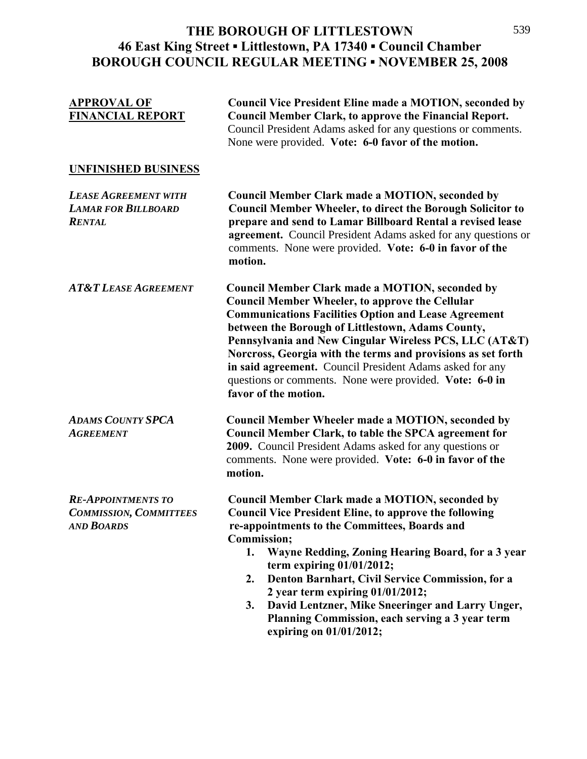| <b>APPROVAL OF</b><br><b>FINANCIAL REPORT</b>                                   | <b>Council Vice President Eline made a MOTION, seconded by</b><br><b>Council Member Clark, to approve the Financial Report.</b><br>Council President Adams asked for any questions or comments.<br>None were provided. Vote: 6-0 favor of the motion.                                                                                                                                                                                                                                                                              |
|---------------------------------------------------------------------------------|------------------------------------------------------------------------------------------------------------------------------------------------------------------------------------------------------------------------------------------------------------------------------------------------------------------------------------------------------------------------------------------------------------------------------------------------------------------------------------------------------------------------------------|
| <b>UNFINISHED BUSINESS</b>                                                      |                                                                                                                                                                                                                                                                                                                                                                                                                                                                                                                                    |
| <b>LEASE AGREEMENT WITH</b><br><b>LAMAR FOR BILLBOARD</b><br><b>RENTAL</b>      | <b>Council Member Clark made a MOTION, seconded by</b><br><b>Council Member Wheeler, to direct the Borough Solicitor to</b><br>prepare and send to Lamar Billboard Rental a revised lease<br>agreement. Council President Adams asked for any questions or<br>comments. None were provided. Vote: 6-0 in favor of the<br>motion.                                                                                                                                                                                                   |
| <b>AT&amp;T LEASE AGREEMENT</b>                                                 | <b>Council Member Clark made a MOTION, seconded by</b><br><b>Council Member Wheeler, to approve the Cellular</b><br><b>Communications Facilities Option and Lease Agreement</b><br>between the Borough of Littlestown, Adams County,<br>Pennsylvania and New Cingular Wireless PCS, LLC (AT&T)<br>Norcross, Georgia with the terms and provisions as set forth<br>in said agreement. Council President Adams asked for any<br>questions or comments. None were provided. Vote: 6-0 in<br>favor of the motion.                      |
| <b>ADAMS COUNTY SPCA</b><br><b>AGREEMENT</b>                                    | <b>Council Member Wheeler made a MOTION, seconded by</b><br>Council Member Clark, to table the SPCA agreement for<br>2009. Council President Adams asked for any questions or<br>comments. None were provided. Vote: 6-0 in favor of the<br>motion.                                                                                                                                                                                                                                                                                |
| <b>RE-APPOINTMENTS TO</b><br><b>COMMISSION, COMMITTEES</b><br><b>AND BOARDS</b> | <b>Council Member Clark made a MOTION, seconded by</b><br><b>Council Vice President Eline, to approve the following</b><br>re-appointments to the Committees, Boards and<br><b>Commission;</b><br>1.<br>Wayne Redding, Zoning Hearing Board, for a 3 year<br>term expiring $01/01/2012$ ;<br>Denton Barnhart, Civil Service Commission, for a<br>2.<br>2 year term expiring $01/01/2012$ ;<br>David Lentzner, Mike Sneeringer and Larry Unger,<br>3.<br>Planning Commission, each serving a 3 year term<br>expiring on 01/01/2012; |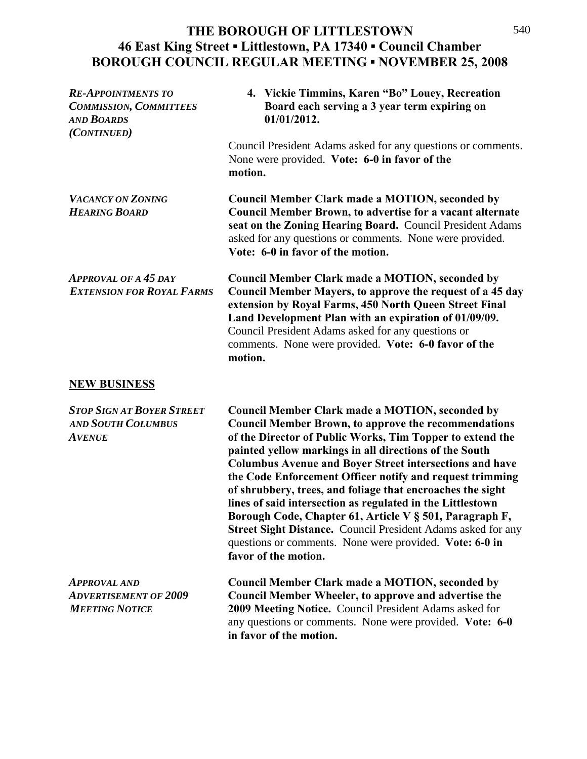| <b>RE-APPOINTMENTS TO</b><br><b>COMMISSION, COMMITTEES</b><br><b>AND BOARDS</b><br>(CONTINUED) | 4. Vickie Timmins, Karen "Bo" Louey, Recreation<br>Board each serving a 3 year term expiring on<br>01/01/2012.                                                                                                                                                                                                                                                                                                                                                                                                                                                                                                                                                                                                       |
|------------------------------------------------------------------------------------------------|----------------------------------------------------------------------------------------------------------------------------------------------------------------------------------------------------------------------------------------------------------------------------------------------------------------------------------------------------------------------------------------------------------------------------------------------------------------------------------------------------------------------------------------------------------------------------------------------------------------------------------------------------------------------------------------------------------------------|
|                                                                                                | Council President Adams asked for any questions or comments.<br>None were provided. Vote: 6-0 in favor of the<br>motion.                                                                                                                                                                                                                                                                                                                                                                                                                                                                                                                                                                                             |
| <b>VACANCY ON ZONING</b><br><b>HEARING BOARD</b>                                               | <b>Council Member Clark made a MOTION, seconded by</b><br><b>Council Member Brown, to advertise for a vacant alternate</b><br>seat on the Zoning Hearing Board. Council President Adams<br>asked for any questions or comments. None were provided.<br>Vote: 6-0 in favor of the motion.                                                                                                                                                                                                                                                                                                                                                                                                                             |
| <b>APPROVAL OF A 45 DAY</b><br><b>EXTENSION FOR ROYAL FARMS</b>                                | <b>Council Member Clark made a MOTION, seconded by</b><br>Council Member Mayers, to approve the request of a 45 day<br>extension by Royal Farms, 450 North Queen Street Final<br>Land Development Plan with an expiration of 01/09/09.<br>Council President Adams asked for any questions or<br>comments. None were provided. Vote: 6-0 favor of the<br>motion.                                                                                                                                                                                                                                                                                                                                                      |
| <b>NEW BUSINESS</b>                                                                            |                                                                                                                                                                                                                                                                                                                                                                                                                                                                                                                                                                                                                                                                                                                      |
| <b>STOP SIGN AT BOYER STREET</b><br><b>AND SOUTH COLUMBUS</b><br><b>AVENUE</b>                 | <b>Council Member Clark made a MOTION, seconded by</b><br><b>Council Member Brown, to approve the recommendations</b><br>of the Director of Public Works, Tim Topper to extend the<br>painted yellow markings in all directions of the South<br><b>Columbus Avenue and Boyer Street intersections and have</b><br>the Code Enforcement Officer notify and request trimming<br>of shrubbery, trees, and foliage that encroaches the sight<br>lines of said intersection as regulated in the Littlestown<br>Borough Code, Chapter 61, Article V § 501, Paragraph F,<br>Street Sight Distance. Council President Adams asked for any<br>questions or comments. None were provided. Vote: 6-0 in<br>favor of the motion. |
| <b>APPROVAL AND</b><br><b>ADVERTISEMENT OF 2009</b><br><b>MEETING NOTICE</b>                   | <b>Council Member Clark made a MOTION, seconded by</b><br><b>Council Member Wheeler, to approve and advertise the</b><br>2009 Meeting Notice. Council President Adams asked for<br>any questions or comments. None were provided. Vote: 6-0<br>in favor of the motion.                                                                                                                                                                                                                                                                                                                                                                                                                                               |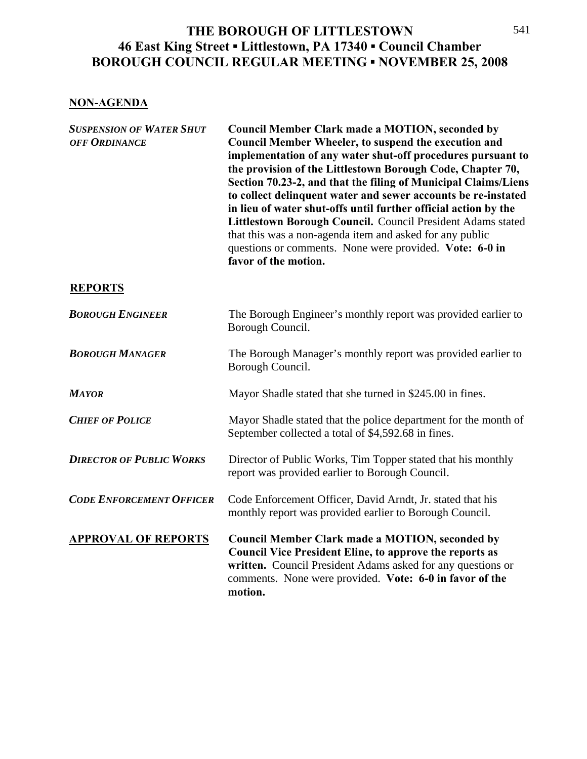## **NON-AGENDA**

*SUSPENSION OF WATER SHUT* **Council Member Clark made a MOTION, seconded by** *OFF ORDINANCE* **Council Member Wheeler, to suspend the execution and implementation of any water shut-off procedures pursuant to the provision of the Littlestown Borough Code, Chapter 70, Section 70.23-2, and that the filing of Municipal Claims/Liens to collect delinquent water and sewer accounts be re-instated in lieu of water shut-offs until further official action by the**  Littlestown Borough Council. Council President Adams stated that this was a non-agenda item and asked for any public questions or comments. None were provided. **Vote: 6-0 in favor of the motion.** 

## **REPORTS**

| <b>BOROUGH ENGINEER</b>         | The Borough Engineer's monthly report was provided earlier to<br>Borough Council.                                                                                                                                                                             |
|---------------------------------|---------------------------------------------------------------------------------------------------------------------------------------------------------------------------------------------------------------------------------------------------------------|
| <b>BOROUGH MANAGER</b>          | The Borough Manager's monthly report was provided earlier to<br>Borough Council.                                                                                                                                                                              |
| <b>MAYOR</b>                    | Mayor Shadle stated that she turned in \$245.00 in fines.                                                                                                                                                                                                     |
| <b>CHIEF OF POLICE</b>          | Mayor Shadle stated that the police department for the month of<br>September collected a total of \$4,592.68 in fines.                                                                                                                                        |
| <b>DIRECTOR OF PUBLIC WORKS</b> | Director of Public Works, Tim Topper stated that his monthly<br>report was provided earlier to Borough Council.                                                                                                                                               |
| <b>CODE ENFORCEMENT OFFICER</b> | Code Enforcement Officer, David Arndt, Jr. stated that his<br>monthly report was provided earlier to Borough Council.                                                                                                                                         |
| <b>APPROVAL OF REPORTS</b>      | <b>Council Member Clark made a MOTION, seconded by</b><br><b>Council Vice President Eline, to approve the reports as</b><br>written. Council President Adams asked for any questions or<br>comments. None were provided. Vote: 6-0 in favor of the<br>motion. |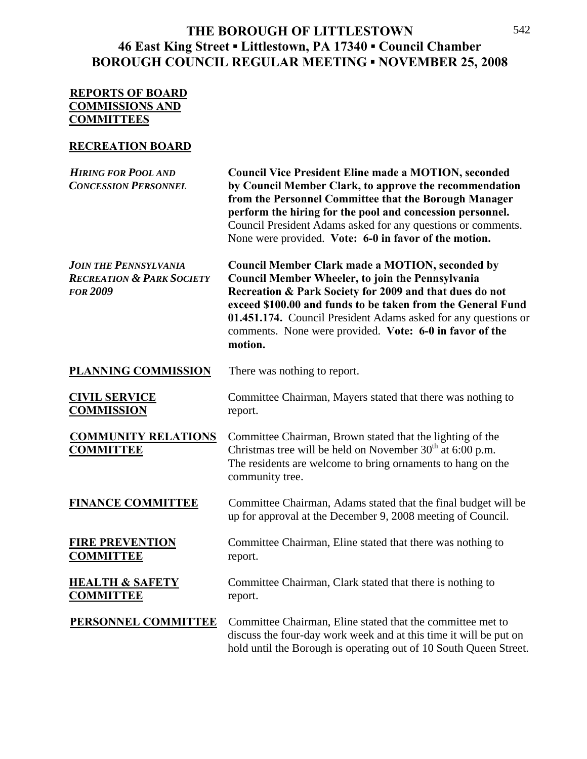## **REPORTS OF BOARD COMMISSIONS AND COMMITTEES**

## **RECREATION BOARD**

| <b>HIRING FOR POOL AND</b><br><b>CONCESSION PERSONNEL</b>                               | <b>Council Vice President Eline made a MOTION, seconded</b><br>by Council Member Clark, to approve the recommendation<br>from the Personnel Committee that the Borough Manager<br>perform the hiring for the pool and concession personnel.<br>Council President Adams asked for any questions or comments.<br>None were provided. Vote: 6-0 in favor of the motion.         |
|-----------------------------------------------------------------------------------------|------------------------------------------------------------------------------------------------------------------------------------------------------------------------------------------------------------------------------------------------------------------------------------------------------------------------------------------------------------------------------|
| <b>JOIN THE PENNSYLVANIA</b><br><b>RECREATION &amp; PARK SOCIETY</b><br><b>FOR 2009</b> | <b>Council Member Clark made a MOTION, seconded by</b><br>Council Member Wheeler, to join the Pennsylvania<br>Recreation & Park Society for 2009 and that dues do not<br>exceed \$100.00 and funds to be taken from the General Fund<br>01.451.174. Council President Adams asked for any questions or<br>comments. None were provided. Vote: 6-0 in favor of the<br>motion. |
| PLANNING COMMISSION                                                                     | There was nothing to report.                                                                                                                                                                                                                                                                                                                                                 |
| <b>CIVIL SERVICE</b><br><b>COMMISSION</b>                                               | Committee Chairman, Mayers stated that there was nothing to<br>report.                                                                                                                                                                                                                                                                                                       |
| <b>COMMUNITY RELATIONS</b><br><b>COMMITTEE</b>                                          | Committee Chairman, Brown stated that the lighting of the<br>Christmas tree will be held on November 30 <sup>th</sup> at 6:00 p.m.<br>The residents are welcome to bring ornaments to hang on the<br>community tree.                                                                                                                                                         |
| <b>FINANCE COMMITTEE</b>                                                                | Committee Chairman, Adams stated that the final budget will be<br>up for approval at the December 9, 2008 meeting of Council.                                                                                                                                                                                                                                                |
| <b>FIRE PREVENTION</b><br><b>COMMITTEE</b>                                              | Committee Chairman, Eline stated that there was nothing to<br>report.                                                                                                                                                                                                                                                                                                        |
| <b>HEALTH &amp; SAFETY</b><br><b>COMMITTEE</b>                                          | Committee Chairman, Clark stated that there is nothing to<br>report.                                                                                                                                                                                                                                                                                                         |
| <b>PERSONNEL COMMITTEE</b>                                                              | Committee Chairman, Eline stated that the committee met to<br>discuss the four-day work week and at this time it will be put on<br>hold until the Borough is operating out of 10 South Queen Street.                                                                                                                                                                         |